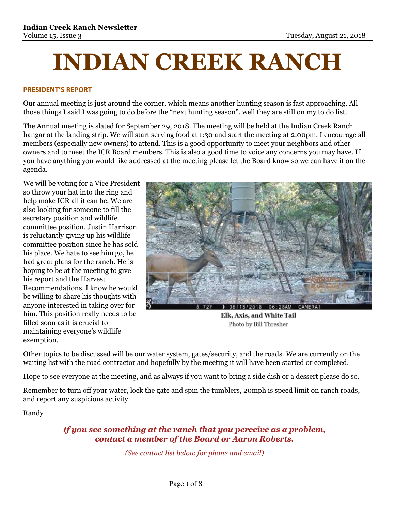# **INDIAN CREEK RANCH**

#### **PRESIDENT'S REPORT**

Our annual meeting is just around the corner, which means another hunting season is fast approaching. All those things I said I was going to do before the "next hunting season", well they are still on my to do list.

The Annual meeting is slated for September 29, 2018. The meeting will be held at the Indian Creek Ranch hangar at the landing strip. We will start serving food at 1:30 and start the meeting at 2:00pm. I encourage all members (especially new owners) to attend. This is a good opportunity to meet your neighbors and other owners and to meet the ICR Board members. This is also a good time to voice any concerns you may have. If you have anything you would like addressed at the meeting please let the Board know so we can have it on the agenda.

We will be voting for a Vice President so throw your hat into the ring and help make ICR all it can be. We are also looking for someone to fill the secretary position and wildlife committee position. Justin Harrison is reluctantly giving up his wildlife committee position since he has sold his place. We hate to see him go, he had great plans for the ranch. He is hoping to be at the meeting to give his report and the Harvest Recommendations. I know he would be willing to share his thoughts with anyone interested in taking over for him. This position really needs to be filled soon as it is crucial to maintaining everyone's wildlife exemption.



Elk, Axis, and White Tail Photo by Bill Thresher

Other topics to be discussed will be our water system, gates/security, and the roads. We are currently on the waiting list with the road contractor and hopefully by the meeting it will have been started or completed.

Hope to see everyone at the meeting, and as always if you want to bring a side dish or a dessert please do so.

Remember to turn off your water, lock the gate and spin the tumblers, 20mph is speed limit on ranch roads, and report any suspicious activity.

Randy

# *If you see something at the ranch that you perceive as a problem, contact a member of the Board or Aaron Roberts.*

*(See contact list below for phone and email)*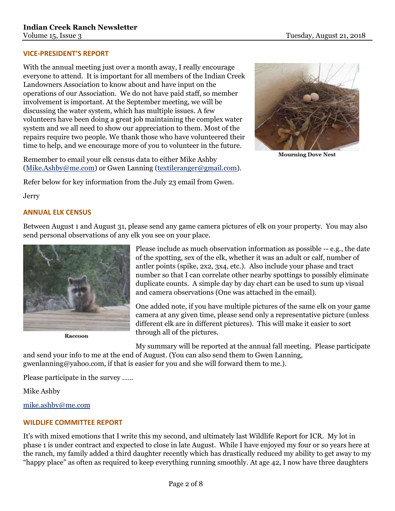### **VICE-PRESIDENT'S REPORT**

With the annual meeting just over a month away, I really encourage everyone to attend. It is important for all members of the Indian Creek Landowners Association to know about and have input on the operations of our Association. We do not have paid staff, so member involvement is important. At the September meeting, we will be discussing the water system, which has multiple issues. A few volunteers have been doing a great job maintaining the complex water system and we all need to show our appreciation to them. Most of the repairs require two people. We thank those who have volunteered their time to help, and we encourage more of you to volunteer in the future.

Remember to email your elk census data to either Mike Ashby [\(Mike.Ashby@me.com\)](mailto:Mike.Ashby@me.com) or Gwen Lanning [\(textileranger@gmail.com\)](mailto:textileranger@gmail.com).

Refer below for key information from the July 23 email from Gwen.

**Jerry** 

### **ANNUAL ELK CENSUS**

Between August 1 and August 31, please send any game camera pictures of elk on your property. You may also send personal observations of any elk you see on your place.



**Raccoon** 

Please include as much observation information as possible -- e.g., the date of the spotting, sex of the elk, whether it was an adult or calf, number of antler points (spike, 2x2, 3x4, etc.). Also include your phase and tract number so that I can correlate other nearby spottings to possibly eliminate duplicate counts. A simple day by day chart can be used to sum up visual and camera observations (One was attached in the email).

One added note, if you have multiple pictures of the same elk on your game camera at any given time, please send only a representative picture (unless different elk are in different pictures). This will make it easier to sort through all of the pictures.

My summary will be reported at the annual fall meeting. Please participate

and send your info to me at the end of August. (You can also send them to Gwen Lanning, gwenlanning@yahoo.com, if that is easier for you and she will forward them to me.).

Please participate in the survey ……

Mike Ashby

[mike.ashby@me.com](mailto:mike.ashby@me.com)

## **WILDLIFE COMMITTEE REPORT**

It's with mixed emotions that I write this my second, and ultimately last Wildlife Report for ICR. My lot in phase 1 is under contract and expected to close in late August. While I have enjoyed my four or so years here at the ranch, my family added a third daughter recently which has drastically reduced my ability to get away to my "happy place" as often as required to keep everything running smoothly. At age 42, I now have three daughters



**Mourning Dove Nest**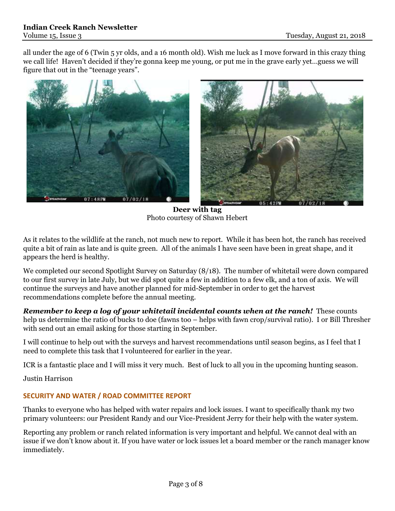all under the age of 6 (Twin 5 yr olds, and a 16 month old). Wish me luck as I move forward in this crazy thing we call life! Haven't decided if they're gonna keep me young, or put me in the grave early yet…guess we will figure that out in the "teenage years".



**Deer with tag** Photo courtesy of Shawn Hebert

As it relates to the wildlife at the ranch, not much new to report. While it has been hot, the ranch has received quite a bit of rain as late and is quite green. All of the animals I have seen have been in great shape, and it appears the herd is healthy.

We completed our second Spotlight Survey on Saturday (8/18). The number of whitetail were down compared to our first survey in late July, but we did spot quite a few in addition to a few elk, and a ton of axis. We will continue the surveys and have another planned for mid-September in order to get the harvest recommendations complete before the annual meeting.

*Remember to keep a log of your whitetail incidental counts when at the ranch!* These counts help us determine the ratio of bucks to doe (fawns too – helps with fawn crop/survival ratio). I or Bill Thresher with send out an email asking for those starting in September.

I will continue to help out with the surveys and harvest recommendations until season begins, as I feel that I need to complete this task that I volunteered for earlier in the year.

ICR is a fantastic place and I will miss it very much. Best of luck to all you in the upcoming hunting season.

Justin Harrison

## **SECURITY AND WATER / ROAD COMMITTEE REPORT**

Thanks to everyone who has helped with water repairs and lock issues. I want to specifically thank my two primary volunteers: our President Randy and our Vice-President Jerry for their help with the water system.

Reporting any problem or ranch related information is very important and helpful. We cannot deal with an issue if we don't know about it. If you have water or lock issues let a board member or the ranch manager know immediately.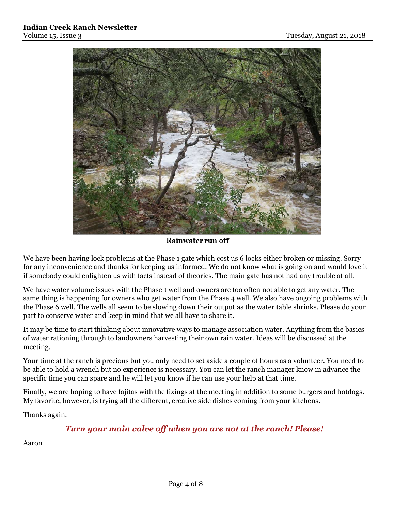

Rainwater run off

We have been having lock problems at the Phase 1 gate which cost us 6 locks either broken or missing. Sorry for any inconvenience and thanks for keeping us informed. We do not know what is going on and would love it if somebody could enlighten us with facts instead of theories. The main gate has not had any trouble at all.

We have water volume issues with the Phase 1 well and owners are too often not able to get any water. The same thing is happening for owners who get water from the Phase 4 well. We also have ongoing problems with the Phase 6 well. The wells all seem to be slowing down their output as the water table shrinks. Please do your part to conserve water and keep in mind that we all have to share it.

It may be time to start thinking about innovative ways to manage association water. Anything from the basics of water rationing through to landowners harvesting their own rain water. Ideas will be discussed at the meeting.

Your time at the ranch is precious but you only need to set aside a couple of hours as a volunteer. You need to be able to hold a wrench but no experience is necessary. You can let the ranch manager know in advance the specific time you can spare and he will let you know if he can use your help at that time.

Finally, we are hoping to have fajitas with the fixings at the meeting in addition to some burgers and hotdogs. My favorite, however, is trying all the different, creative side dishes coming from your kitchens.

Thanks again.

# *Turn your main valve off when you are not at the ranch! Please!*

Aaron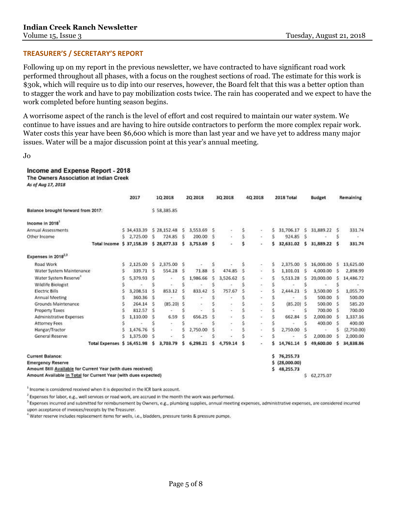#### **TREASURER'S / SECRETARY'S REPORT**

Following up on my report in the previous newsletter, we have contracted to have significant road work performed throughout all phases, with a focus on the roughest sections of road. The estimate for this work is \$30k, which will require us to dip into our reserves, however, the Board felt that this was a better option than to stagger the work and have to pay mobilization costs twice. The rain has cooperated and we expect to have the work completed before hunting season begins.

A worrisome aspect of the ranch is the level of effort and cost required to maintain our water system. We continue to have issues and are having to hire outside contractors to perform the more complex repair work. Water costs this year have been \$6,600 which is more than last year and we have yet to address many major issues. Water will be a major discussion point at this year's annual meeting.

```
Jo
```
Income and Expense Report - 2018

The Owners Association at Indian Creek

As of Aug 17, 2018

|                                                                 |   | 2017        |   | 1Q 2018      |   | 2Q 2018  |   | 3Q 2018  |        | 4Q 2018 |    | 2018 Total  |   | <b>Budget</b> |    | Remaining  |
|-----------------------------------------------------------------|---|-------------|---|--------------|---|----------|---|----------|--------|---------|----|-------------|---|---------------|----|------------|
| Balance brought forward from 2017:                              |   |             |   | \$58,385.85  |   |          |   |          |        |         |    |             |   |               |    |            |
| Income in 2018                                                  |   |             |   |              |   |          |   |          |        |         |    |             |   |               |    |            |
| Annual Assessments                                              |   | \$34,433.39 |   | \$28,152.48  | Ś | 3,553.69 | s |          |        |         | \$ | 31,706.17   | Ś | 31,889.22     | s  | 331.74     |
| Other Income                                                    | s | 2,725.00    | Ś | 724.85       | S | 200.00   | S |          | s<br>s | $\sim$  | Ŝ  | 924.85      | S |               | s  |            |
| <b>Total Income</b>                                             |   | \$37,158.39 |   | \$28,877.33  | s | 3,753.69 | s | t        | s      | ¥       |    | 32,631.02   | s | 31,889.22     | ్య | 331.74     |
| Expenses in 2018 <sup>2,3</sup>                                 |   |             |   |              |   |          |   |          |        |         |    |             |   |               |    |            |
| Road Work                                                       |   | 2,125.00    | Ŝ | 2,375.00     | Ŝ |          | S |          |        |         | ŝ  | 2,375.00    | s | 16,000.00     | s  | 13,625.00  |
| Water System Maintenance                                        |   | 339.71      | Ś | 554.28       |   | 71.88    | Ś | 474.85   | Ŝ      | ÷       | Ŝ  | 1,101.01    | Ś | 4,000.00      | 'S | 2,898.99   |
| Water System Reserve"                                           | š | 5.379.93    |   | $\sim$       | S | 1,986.66 | 5 | 3,526.62 | S      | $\sim$  | \$ | 5,513,28    | s | 20,000.00     | s  | 14,486.72  |
| Wildlife Biologist                                              |   |             |   |              |   |          |   |          |        |         |    |             |   |               |    |            |
| <b>Electric Bills</b>                                           |   | 3,208.51    |   | 853.12       |   | 833.42   | ς | 757.67   |        |         |    | 2,444.21    |   | 3,500.00      |    | 1,055.79   |
| Annual Meeting                                                  |   | 360.36      | Ś |              |   |          |   |          |        |         |    |             | s | 500.00        | s. | 500.00     |
| Grounds Maintenance                                             |   | 264.14      | Ś | $(85.20)$ \$ |   |          |   |          |        | $\sim$  |    | $(85.20)$ S |   | 500.00        | s  | 585.20     |
| Property Taxes                                                  |   | 812.57      | ς |              |   |          |   |          |        |         |    |             | ς | 700.00        |    | 700.00     |
| <b>Administrative Expenses</b>                                  |   | 1,110.00    |   | 6.59         |   | 656.25   |   | ä,       |        |         |    | 662.84      | S | 2,000.00      |    | 1,337.16   |
| <b>Attomey Fees</b>                                             |   |             |   | $\sim$       |   |          |   | $\pi$    |        | $\sim$  |    |             |   | 400.00        |    | 400.00     |
| Hangar/Tractor                                                  |   | 1,476.76    |   |              |   | 2,750.00 |   |          | S      |         |    | 2,750.00    |   |               |    | (2,750.00) |
| General Reserve                                                 | Ś | 1,375.00    |   |              |   |          |   |          |        |         |    |             |   | 2,000.00      | S  | 2,000.00   |
| Total Expenses \$ 16,451.98                                     |   |             | s | 3,703.79     |   | 6,298.21 | s | 4,759.14 | s      |         |    | 14,761.14   | Ś | 49,600.00     | s  | 34,838.86  |
| <b>Current Balance:</b>                                         |   |             |   |              |   |          |   |          |        |         | Ś  | 76,255.73   |   |               |    |            |
| <b>Emergency Reserve</b>                                        |   |             |   |              |   |          |   |          |        |         |    | (28,000.00) |   |               |    |            |
| Amount Still Available for Current Year (with dues received)    |   |             |   |              |   |          |   |          |        |         | Ś. | 48,255.73   |   |               |    |            |
| Amount Available in Total for Current Year (with dues expected) |   |             |   |              |   |          |   |          |        |         |    |             | Ś | 62,275.07     |    |            |

<sup>1</sup> Income is considered received when it is deposited in the ICR bank account.

<sup>2</sup> Expenses for labor, e.g., well services or road work, are accrued in the month the work was performed.

<sup>3</sup> Expenses incurred and submitted for reimbursement by Owners, e.g., plumbing supplies, annual meeting expenses, administrative expenses, are considered incurred upon acceptance of invoices/receipts by the Treasurer.

<sup>4</sup> Water reserve includes replacement items for wells, i.e., bladders, pressure tanks & pressure pumps.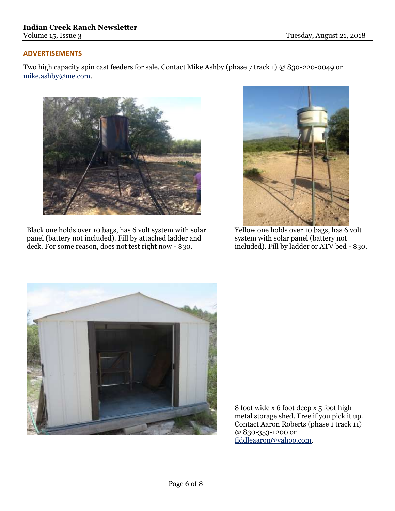## **ADVERTISEMENTS**

Two high capacity spin cast feeders for sale. Contact Mike Ashby (phase 7 track 1) @ 830-220-0049 or [mike.ashby@me.com.](mailto:mike.ashby@me.com)



Black one holds over 10 bags, has 6 volt system with solar panel (battery not included). Fill by attached ladder and deck. For some reason, does not test right now - \$30.



Yellow one holds over 10 bags, has 6 volt system with solar panel (battery not included). Fill by ladder or ATV bed - \$30.



8 foot wide x 6 foot deep x 5 foot high metal storage shed. Free if you pick it up. Contact Aaron Roberts (phase 1 track 11) @ 830-353-1200 or [fiddleaaron@yahoo.com.](mailto:fiddleaaron@yahoo.com)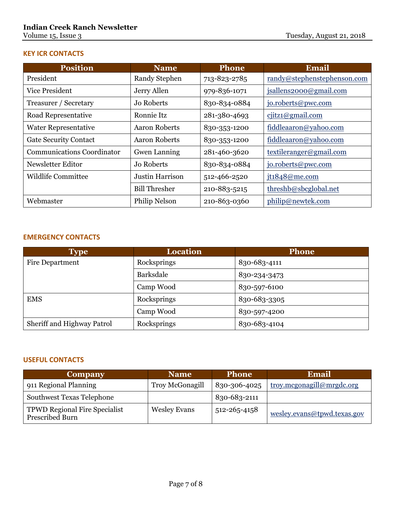# **KEY ICR CONTACTS**

| <b>Position</b>                   | <b>Name</b>          | <b>Phone</b> | <b>Email</b>                |
|-----------------------------------|----------------------|--------------|-----------------------------|
| President                         | <b>Randy Stephen</b> | 713-823-2785 | randy@stephenstephenson.com |
| <b>Vice President</b>             | Jerry Allen          | 979-836-1071 | jsallens2000@gmail.com      |
| Treasurer / Secretary             | Jo Roberts           | 830-834-0884 | jo.roberts@pwc.com          |
| Road Representative               | Ronnie Itz           | 281-380-4693 | $c$ iitz1@gmail.com         |
| <b>Water Representative</b>       | Aaron Roberts        | 830-353-1200 | fiddleaaron@yahoo.com       |
| <b>Gate Security Contact</b>      | <b>Aaron Roberts</b> | 830-353-1200 | fiddleaaron@yahoo.com       |
| <b>Communications Coordinator</b> | <b>Gwen Lanning</b>  | 281-460-3620 | textileranger@gmail.com     |
| Newsletter Editor                 | Jo Roberts           | 830-834-0884 | jo.roberts@pwc.com          |
| <b>Wildlife Committee</b>         | Justin Harrison      | 512-466-2520 | jt1848@me.com               |
|                                   | <b>Bill Thresher</b> | 210-883-5215 | threshb@sbcglobal.net       |
| Webmaster                         | Philip Nelson        | 210-863-0360 | philip@newtek.com           |

# **EMERGENCY CONTACTS**

| <b>Type</b>                | <b>Location</b> | <b>Phone</b> |
|----------------------------|-----------------|--------------|
| Fire Department            | Rocksprings     | 830-683-4111 |
|                            | Barksdale       | 830-234-3473 |
|                            | Camp Wood       | 830-597-6100 |
| <b>EMS</b>                 | Rocksprings     | 830-683-3305 |
|                            | Camp Wood       | 830-597-4200 |
| Sheriff and Highway Patrol | Rocksprings     | 830-683-4104 |

## **USEFUL CONTACTS**

| Company                                                 | <b>Name</b>         | <b>Phone</b> | Email                       |  |  |  |
|---------------------------------------------------------|---------------------|--------------|-----------------------------|--|--|--|
| 911 Regional Planning                                   | Troy McGonagill     | 830-306-4025 | troy.mcgonagill@mrgdc.org   |  |  |  |
| <b>Southwest Texas Telephone</b>                        |                     | 830-683-2111 |                             |  |  |  |
| <b>TPWD Regional Fire Specialist</b><br>Prescribed Burn | <b>Wesley Evans</b> | 512-265-4158 | wesley.evans@tpwd.texas.gov |  |  |  |